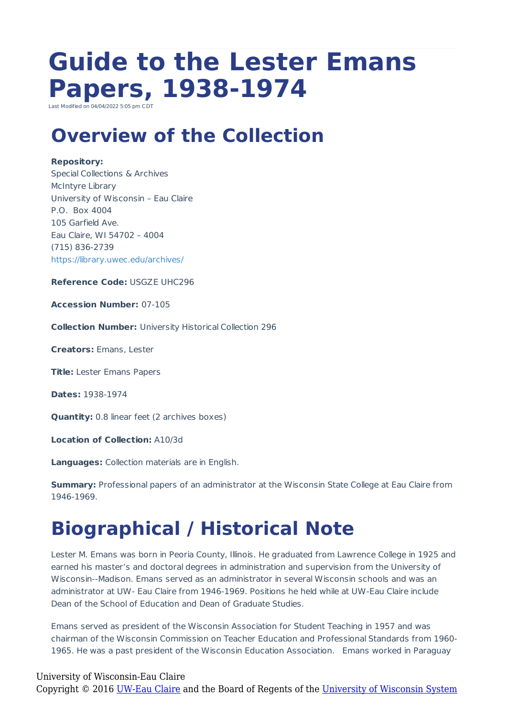# **Guide to the Lester Emans Papers, 1938-1974**

Last Modified on  $04/04/2022$  5:05 pm CD

### **Overview of the Collection**

#### **Repository:**

Special Collections & Archives McIntyre Library University of Wisconsin – Eau Claire P.O. Box 4004 105 Garfield Ave. Eau Claire, WI 54702 – 4004 (715) 836-2739 https://library.uwec.edu/archives/

**Reference Code:** USGZE UHC296

**Accession Number:** 07-105

**Collection Number:** University Historical Collection 296

**Creators:** Emans, Lester

**Title:** Lester Emans Papers

**Dates:** 1938-1974

**Quantity:** 0.8 linear feet (2 archives boxes)

**Location of Collection:** A10/3d

**Languages:** Collection materials are in English.

**Summary:** Professional papers of an administrator at the Wisconsin State College at Eau Claire from 1946-1969.

## **Biographical / Historical Note**

Lester M. Emans was born in Peoria County, Illinois. He graduated from Lawrence College in 1925 and earned his master's and doctoral degrees in administration and supervision from the University of Wisconsin--Madison. Emans served as an administrator in several Wisconsin schools and was an administrator at UW- Eau Claire from 1946-1969. Positions he held while at UW-Eau Claire include Dean of the School of Education and Dean of Graduate Studies.

Emans served as president of the Wisconsin Association for Student Teaching in 1957 and was chairman of the Wisconsin Commission on Teacher Education and Professional Standards from 1960- 1965. He was a past president of the Wisconsin Education Association. Emans worked in Paraguay

#### University of Wisconsin-Eau Claire Copyright © 2016 [UW-Eau Claire](http://www.uwec.edu) and the Board of Regents of the [University of Wisconsin System](http://www.uwsa.edu/)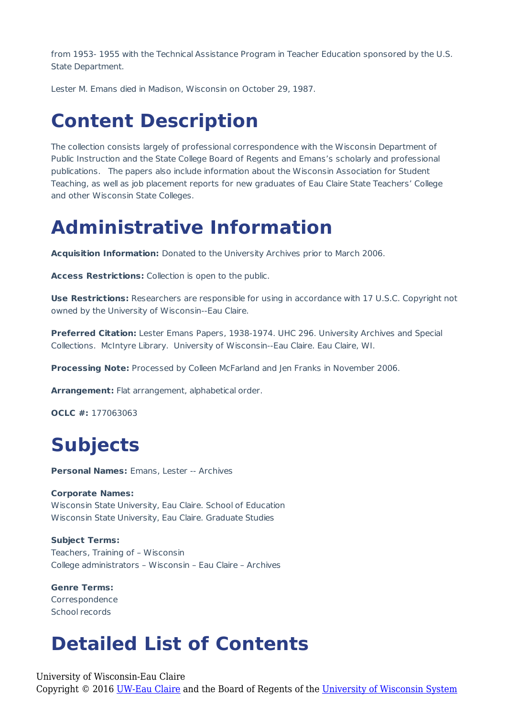from 1953- 1955 with the Technical Assistance Program in Teacher Education sponsored by the U.S. State Department.

Lester M. Emans died in Madison, Wisconsin on October 29, 1987.

#### **Content Description**

The collection consists largely of professional correspondence with the Wisconsin Department of Public Instruction and the State College Board of Regents and Emans's scholarly and professional publications. The papers also include information about the Wisconsin Association for Student Teaching, as well as job placement reports for new graduates of Eau Claire State Teachers' College and other Wisconsin State Colleges.

#### **Administrative Information**

**Acquisition Information:** Donated to the University Archives prior to March 2006.

**Access Restrictions:** Collection is open to the public.

**Use Restrictions:** Researchers are responsible for using in accordance with 17 U.S.C. Copyright not owned by the University of Wisconsin--Eau Claire.

**Preferred Citation:** Lester Emans Papers, 1938-1974. UHC 296. University Archives and Special Collections. McIntyre Library. University of Wisconsin--Eau Claire. Eau Claire, WI.

**Processing Note:** Processed by Colleen McFarland and Jen Franks in November 2006.

**Arrangement:** Flat arrangement, alphabetical order.

**OCLC #:** 177063063

### **Subjects**

**Personal Names:** Emans, Lester -- Archives

#### **Corporate Names:**

Wisconsin State University, Eau Claire. School of Education Wisconsin State University, Eau Claire. Graduate Studies

**Subject Terms:**

Teachers, Training of – Wisconsin College administrators – Wisconsin – Eau Claire – Archives

**Genre Terms:** Correspondence School records

### **Detailed List of Contents**

University of Wisconsin-Eau Claire Copyright © 2016 [UW-Eau Claire](http://www.uwec.edu) and the Board of Regents of the [University of Wisconsin System](http://www.uwsa.edu/)